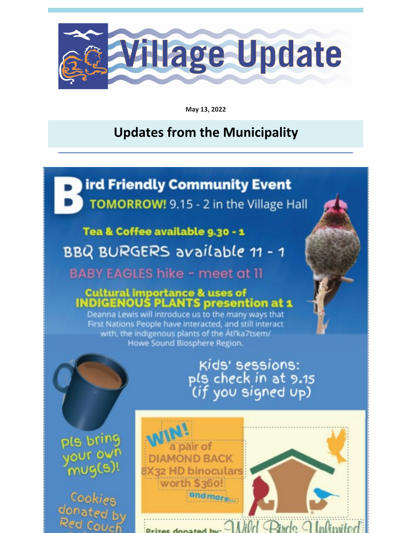

May 13, 2022

### **Updates from the Municipality**

ird Friendly Community Event TOMORROW! 9.15 - 2 in the Village Hall

### Tea & Coffee available 9.30 - 1

BBQ BURGERS available 11 - 1

**BABY EAGLES hike - meet at 11** 

### **Cultural importance & uses of INDIGENOUS PLANTS presention at 1**

Deanna Lewis will introduce us to the many ways that First Nations People have interacted, and still interact with, the indigenous plants of the Atl'ka7tsem/ Howe Sound Biosphere Region.

# Kids' sessions: pls check in at 9.15<br>(if you signed up)

pls bring your own mug(s)!

**Cook** donated by Red Couch

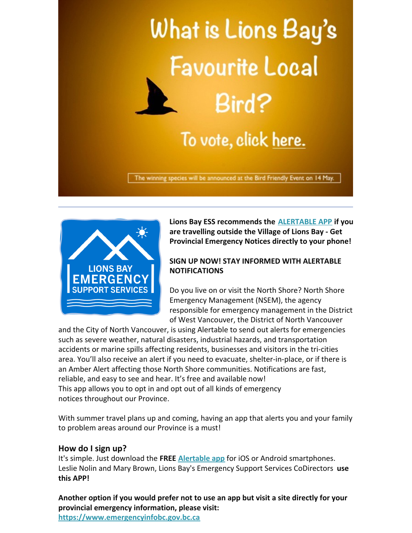



**Lions Bay ESS recommends the [ALERTABLE APP](https://nsem.ca/alertable) if you are travelling outside the Village of Lions Bay - Get Provincial Emergency Notices directly to your phone!**

#### **SIGN UP NOW! STAY INFORMED WITH ALERTABLE NOTIFICATIONS**

Do you live on or visit the North Shore? North Shore Emergency Management (NSEM), the agency responsible for emergency management in the District of West Vancouver, the District of North Vancouver

and the City of North Vancouver, is using Alertable to send out alerts for emergencies such as severe weather, natural disasters, industrial hazards, and transportation accidents or marine spills affecting residents, businesses and visitors in the tri-cities area. You'll also receive an alert if you need to evacuate, shelter-in-place, or if there is an Amber Alert affecting those North Shore communities. Notifications are fast, reliable, and easy to see and hear. It's free and available now! This app allows you to opt in and opt out of all kinds of emergency notices throughout our Province.

With summer travel plans up and coming, having an app that alerts you and your family to problem areas around our Province is a must!

#### **How do I sign up?**

It's simple. Just download the **FREE [Alertable app](https://nsem.ca/alertable)** for iOS or Android smartphones. Leslie Nolin and Mary Brown, Lions Bay's Emergency Support Services CoDirectors **use this APP!**

**Another option if you would prefer not to use an app but visit a site directly for your provincial emergency information, please visit: [https://www.emergencyinfobc.gov.bc.ca](http://www.emergencyinfobc.gov.bc.ca)**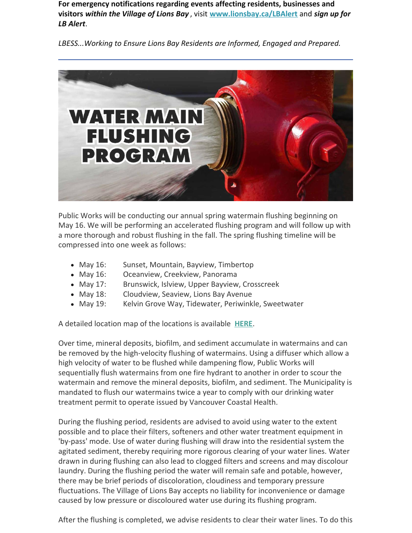**For emergency notifications regarding events affecting residents, businesses and visitors** *within the Village of Lions Bay* , visit **[www.lionsbay.ca/LBAlert](http://www.lionsbay.ca/LBAlert)** and *sign up for LB Alert*.

*LBESS...Working to Ensure Lions Bay Residents are Informed, Engaged and Prepared.*



Public Works will be conducting our annual spring watermain flushing beginning on May 16. We will be performing an accelerated flushing program and will follow up with a more thorough and robust flushing in the fall. The spring flushing timeline will be compressed into one week as follows:

- May 16: Sunset, Mountain, Bayview, Timbertop
- May 16: Oceanview, Creekview, Panorama
- May 17: Brunswick, Islview, Upper Bayview, Crosscreek
- May 18: Cloudview, Seaview, Lions Bay Avenue
- May 19: Kelvin Grove Way, Tidewater, Periwinkle, Sweetwater

A detailed location map of the locations is available **[HERE](https://files.constantcontact.com/624d8190501/7e220f1f-93d6-496a-8941-a2f3bb970ccb.pdf)**.

Over time, mineral deposits, biofilm, and sediment accumulate in watermains and can be removed by the high-velocity flushing of watermains. Using a diffuser which allow a high velocity of water to be flushed while dampening flow, Public Works will sequentially flush watermains from one fire hydrant to another in order to scour the watermain and remove the mineral deposits, biofilm, and sediment. The Municipality is mandated to flush our watermains twice a year to comply with our drinking water treatment permit to operate issued by Vancouver Coastal Health.

During the flushing period, residents are advised to avoid using water to the extent possible and to place their filters, softeners and other water treatment equipment in 'by-pass' mode. Use of water during flushing will draw into the residential system the agitated sediment, thereby requiring more rigorous clearing of your water lines. Water drawn in during flushing can also lead to clogged filters and screens and may discolour laundry. During the flushing period the water will remain safe and potable, however, there may be brief periods of discoloration, cloudiness and temporary pressure fluctuations. The Village of Lions Bay accepts no liability for inconvenience or damage caused by low pressure or discoloured water use during its flushing program.

After the flushing is completed, we advise residents to clear their water lines. To do this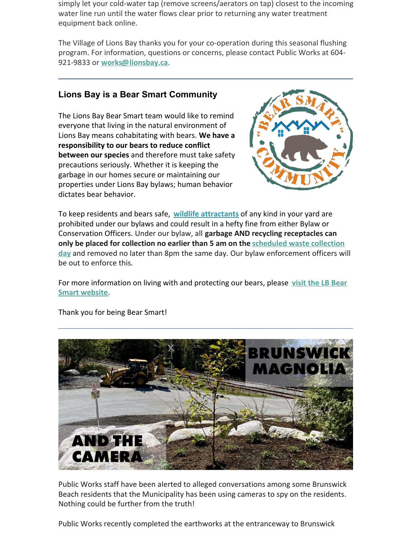simply let your cold-water tap (remove screens/aerators on tap) closest to the incoming water line run until the water flows clear prior to returning any water treatment equipment back online.

The Village of Lions Bay thanks you for your co-operation during this seasonal flushing program. For information, questions or concerns, please contact Public Works at 604- 921-9833 or **[works@lionsbay.ca](mailto:works@lionsbay.ca)**.

#### **Lions Bay is a Bear Smart Community**

The Lions Bay Bear Smart team would like to remind everyone that living in the natural environment of Lions Bay means cohabitating with bears. **We have a responsibility to our bears to reduce conflict between our species** and therefore must take safety precautions seriously. Whether it is keeping the garbage in our homes secure or maintaining our properties under Lions Bay bylaws; human behavior dictates bear behavior.



To keep residents and bears safe, **[wildlife attractants](https://files.constantcontact.com/624d8190501/63f6d0a2-d450-4edb-bb63-eb4e5295f45e.pdf)** of any kind in your yard are prohibited under our bylaws and could result in a hefty fine from either Bylaw or Conservation Officers. Under our bylaw, all **garbage AND recycling receptacles can [only be placed for collection no earlier than 5 am on the scheduled waste collection](https://www.lionsbay.ca/sites/lionsbay.ca/files/docs/services/Solid_Waste/Lions Bay 2022 Collection Calendar.pdf) day** and removed no later than 8pm the same day. Our bylaw enforcement officers will be out to enforce this.

[For more information on living with and protecting our bears, please](http://www.lionsbaybearsmart.ca/) **visit the LB Bear Smart website**.



Thank you for being Bear Smart!

Public Works staff have been alerted to alleged conversations among some Brunswick Beach residents that the Municipality has been using cameras to spy on the residents. Nothing could be further from the truth!

Public Works recently completed the earthworks at the entranceway to Brunswick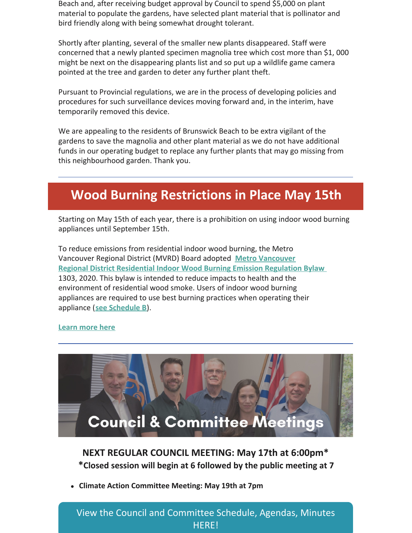Beach and, after receiving budget approval by Council to spend \$5,000 on plant material to populate the gardens, have selected plant material that is pollinator and bird friendly along with being somewhat drought tolerant.

Shortly after planting, several of the smaller new plants disappeared. Staff were concerned that a newly planted specimen magnolia tree which cost more than \$1, 000 might be next on the disappearing plants list and so put up a wildlife game camera pointed at the tree and garden to deter any further plant theft.

Pursuant to Provincial regulations, we are in the process of developing policies and procedures for such surveillance devices moving forward and, in the interim, have temporarily removed this device.

We are appealing to the residents of Brunswick Beach to be extra vigilant of the gardens to save the magnolia and other plant material as we do not have additional funds in our operating budget to replace any further plants that may go missing from this neighbourhood garden. Thank you.

### **Wood Burning Restrictions in Place May 15th**

Starting on May 15th of each year, there is a prohibition on using indoor wood burning appliances until September 15th.

To reduce emissions from residential indoor wood burning, the Metro Vancouver Regional District (MVRD) Board adopted **Metro [Vancouver](http://www.metrovancouver.org/boards/Bylaws1/MVRD_Bylaw_1303.pdf#search=%22residential%22) Regional District [Residential](http://www.metrovancouver.org/boards/Bylaws1/MVRD_Bylaw_1303.pdf#search=%22residential%22) Indoor Wood Burning Emission Regulation Bylaw** 1303, 2020. This bylaw is intended to reduce impacts to health and the environment of residential wood smoke. Users of indoor wood burning appliances are required to use best burning practices when operating their appliance (**see [Schedule](http://www.metrovancouver.org/boards/Bylaws1/MVRD_Bylaw_1303.pdf#page=10) B**).

#### **[Learn](http://www.metrovancouver.org/services/air-quality/action/residential-wood-burning/Pages/default.aspx) more here**



**NEXT REGULAR COUNCIL MEETING: May 17th at 6:00pm\* \*Closed session will begin at 6 followed by the public meeting at 7**

**Climate Action Committee Meeting: May 19th at 7pm**

View the Council and [Committee](https://www.lionsbay.ca/government/council-committee-meetings/agendas-minutes) Schedule, Agendas, Minutes HERE!